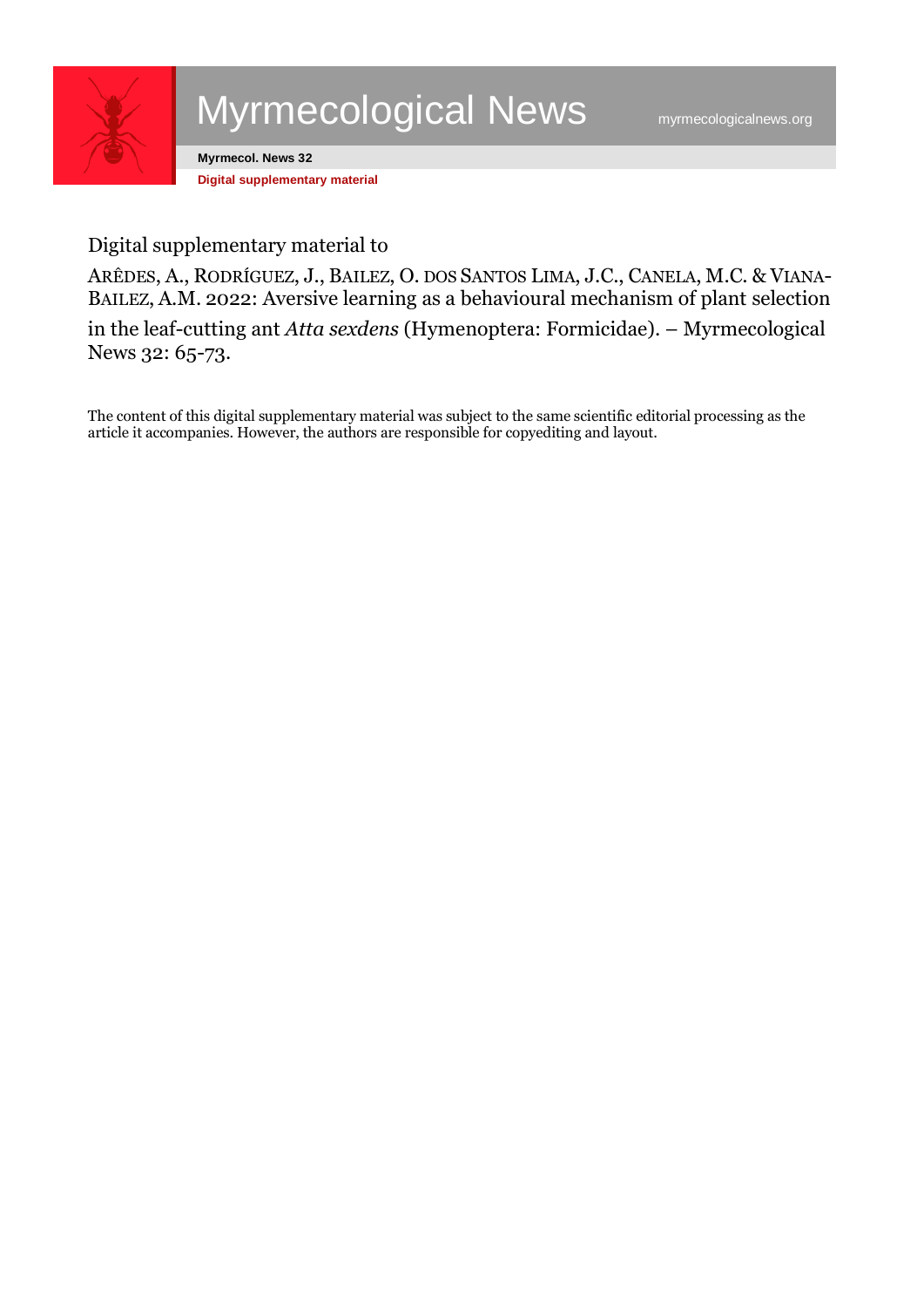

## Myrmecological News [myrmecologicalnews.org](https://myrmecologicalnews.org/)

**Myrmecol. News 32 Digital supplementary material**

## Digital supplementary material to

ARÊDES, A., RODRÍGUEZ, J., BAILEZ, O. DOS SANTOS LIMA, J.C., CANELA, M.C. & VIANA-BAILEZ, A.M. 2022: Aversive learning as a behavioural mechanism of plant selection in the leaf-cutting ant *Atta sexdens* (Hymenoptera: Formicidae). – Myrmecological News 32: 65-73.

The content of this digital supplementary material was subject to the same scientific editorial processing as the article it accompanies. However, the authors are responsible for copyediting and layout.